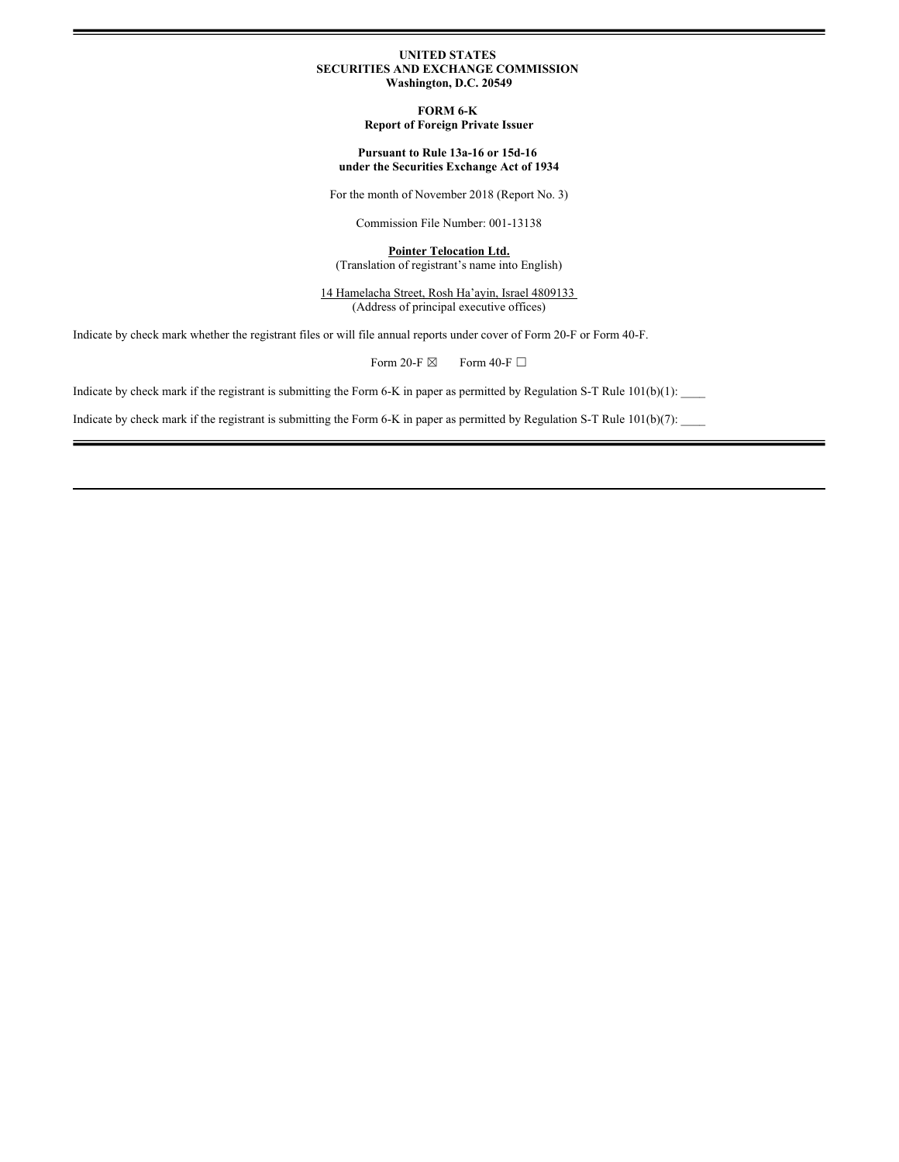### **UNITED STATES SECURITIES AND EXCHANGE COMMISSION Washington, D.C. 20549**

**FORM 6-K Report of Foreign Private Issuer**

### **Pursuant to Rule 13a-16 or 15d-16 under the Securities Exchange Act of 1934**

For the month of November 2018 (Report No. 3)

Commission File Number: 001-13138

**Pointer Telocation Ltd.** (Translation of registrant's name into English)

14 Hamelacha Street, Rosh Ha'ayin, Israel 4809133 (Address of principal executive offices)

Indicate by check mark whether the registrant files or will file annual reports under cover of Form 20-F or Form 40-F.

Form 20-F  $\boxtimes$  Form 40-F  $\Box$ 

Indicate by check mark if the registrant is submitting the Form 6-K in paper as permitted by Regulation S-T Rule 101(b)(1):

Indicate by check mark if the registrant is submitting the Form 6-K in paper as permitted by Regulation S-T Rule  $101(b)(7)$ :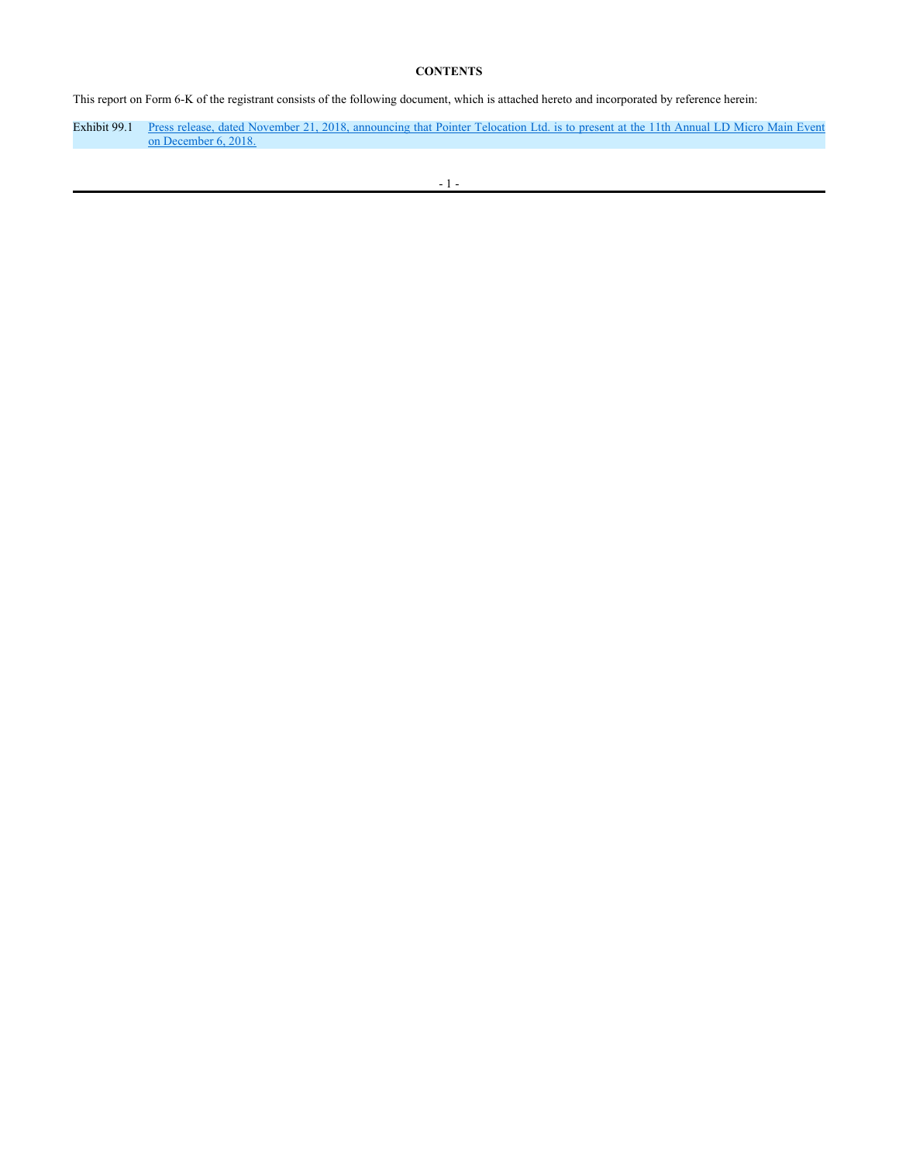## **CONTENTS**

This report on Form 6-K of the registrant consists of the following document, which is attached hereto and incorporated by reference herein:

Exhibit 99.1 Press release, dated November 21, 2018, announcing that Pointer Telocation Ltd. is to present at the 11th Annual LD Micro Main Event on December 6, 2018.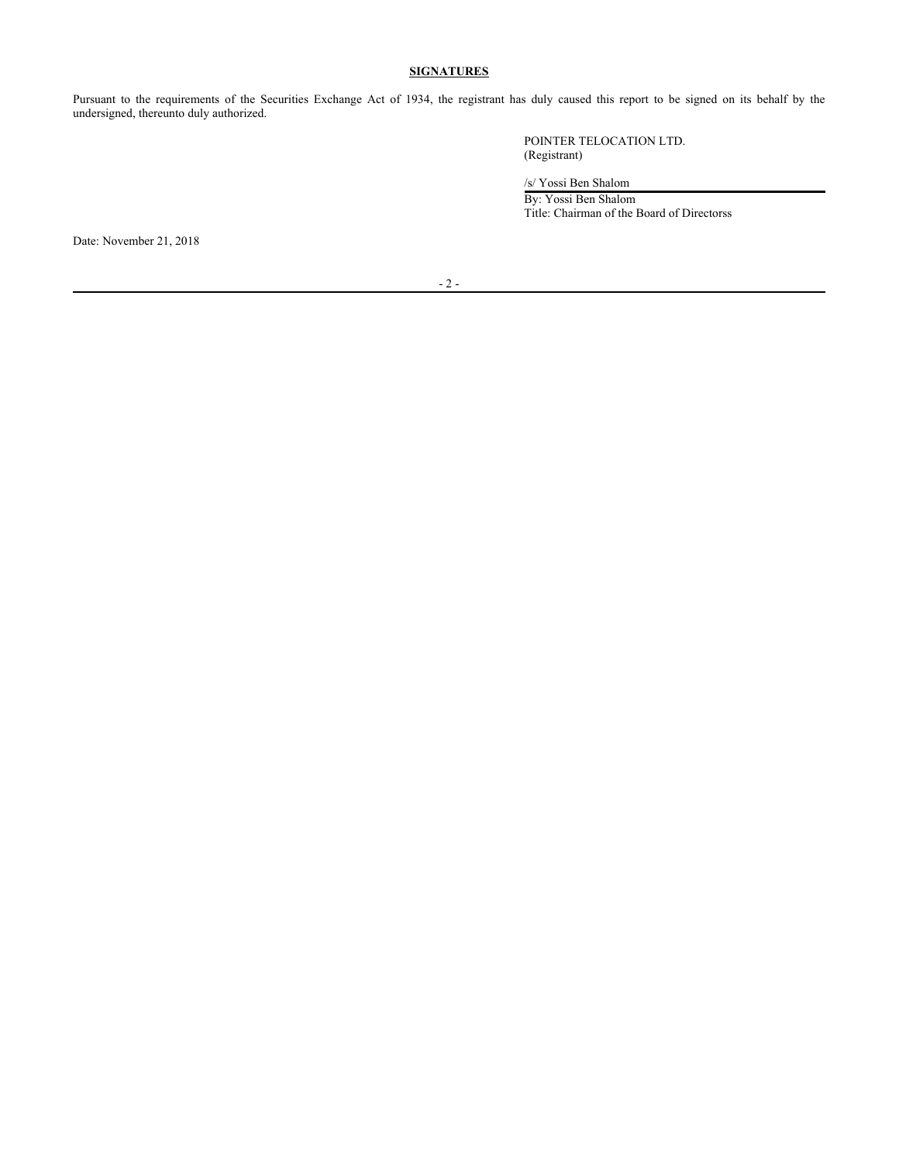# **SIGNATURES**

Pursuant to the requirements of the Securities Exchange Act of 1934, the registrant has duly caused this report to be signed on its behalf by the undersigned, thereunto duly authorized.

> POINTER TELOCATION LTD. (Registrant)

/s/ Yossi Ben Shalom

By: Yossi Ben Shalom Title: Chairman of the Board of Directorss

Date: November 21, 2018